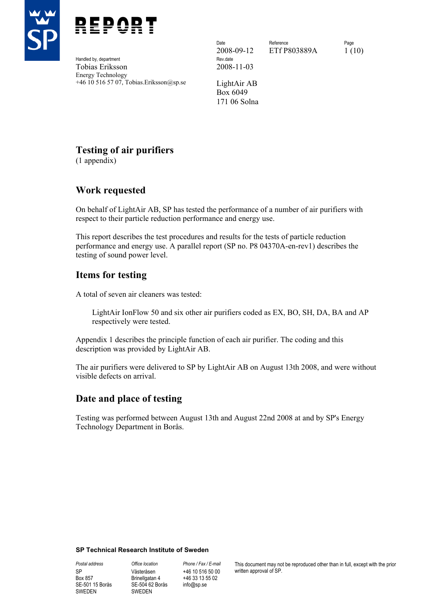



Handled by, department Tobias Eriksson 2008-11-03 Energy Technology +46 10 516 57 07, Tobias.Eriksson@sp.se LightAir AB

2008-09-12 ETf P803889A 1 (10)

Date **Reference** Reference **Page** 

Box 6049 171 06 Solna

# **Testing of air purifiers**

(1 appendix)

# **Work requested**

On behalf of LightAir AB, SP has tested the performance of a number of air purifiers with respect to their particle reduction performance and energy use.

This report describes the test procedures and results for the tests of particle reduction performance and energy use. A parallel report (SP no. P8 04370A-en-rev1) describes the testing of sound power level.

# **Items for testing**

A total of seven air cleaners was tested:

LightAir IonFlow 50 and six other air purifiers coded as EX, BO, SH, DA, BA and AP respectively were tested.

Appendix 1 describes the principle function of each air purifier. The coding and this description was provided by LightAir AB.

The air purifiers were delivered to SP by LightAir AB on August 13th 2008, and were without visible defects on arrival.

# **Date and place of testing**

Testing was performed between August 13th and August 22nd 2008 at and by SP's Energy Technology Department in Borås.

#### **SP Technical Research Institute of Sweden**

SP Box 857 SE-501 15 Borås SWEDEN

*Postal address Office location Phone / Fax / E-mail*  Västeråsen Brinellgatan 4 SE-504 62 Borås SWEDEN

+46 10 516 50 00 +46 33 13 55 02 info@sp.se

This document may not be reproduced other than in full, except with the prior written approval of SP.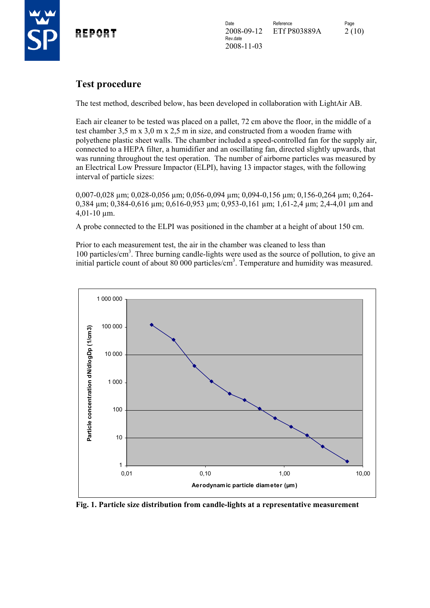

# **Test procedure**

The test method, described below, has been developed in collaboration with LightAir AB.

Each air cleaner to be tested was placed on a pallet, 72 cm above the floor, in the middle of a test chamber 3,5 m x 3,0 m x 2,5 m in size, and constructed from a wooden frame with polyethene plastic sheet walls. The chamber included a speed-controlled fan for the supply air, connected to a HEPA filter, a humidifier and an oscillating fan, directed slightly upwards, that was running throughout the test operation. The number of airborne particles was measured by an Electrical Low Pressure Impactor (ELPI), having 13 impactor stages, with the following interval of particle sizes:

0,007-0,028 µm; 0,028-0,056 µm; 0,056-0,094 µm; 0,094-0,156 µm; 0,156-0,264 µm; 0,264- 0,384 µm; 0,384-0,616 µm; 0,616-0,953 µm; 0,953-0,161 µm; 1,61-2,4 µm; 2,4-4,01 µm and 4,01-10 µm.

A probe connected to the ELPI was positioned in the chamber at a height of about 150 cm.

Prior to each measurement test, the air in the chamber was cleaned to less than 100 particles/cm<sup>3</sup>. Three burning candle-lights were used as the source of pollution, to give an initial particle count of about 80 000 particles/cm<sup>3</sup>. Temperature and humidity was measured.



**Fig. 1. Particle size distribution from candle-lights at a representative measurement**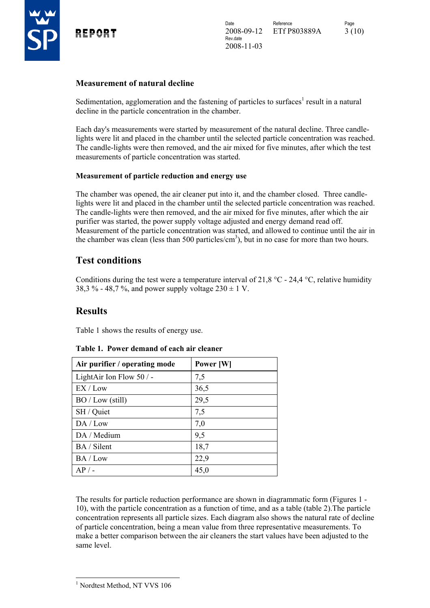

#### **Measurement of natural decline**

Sedimentation, agglomeration and the fastening of particles to surfaces<sup>1</sup> result in a natural decline in the particle concentration in the chamber.

Each day's measurements were started by measurement of the natural decline. Three candlelights were lit and placed in the chamber until the selected particle concentration was reached. The candle-lights were then removed, and the air mixed for five minutes, after which the test measurements of particle concentration was started.

#### **Measurement of particle reduction and energy use**

The chamber was opened, the air cleaner put into it, and the chamber closed. Three candlelights were lit and placed in the chamber until the selected particle concentration was reached. The candle-lights were then removed, and the air mixed for five minutes, after which the air purifier was started, the power supply voltage adjusted and energy demand read off. Measurement of the particle concentration was started, and allowed to continue until the air in the chamber was clean (less than 500 particles/ $\text{cm}^3$ ), but in no case for more than two hours.

## **Test conditions**

Conditions during the test were a temperature interval of 21,8 °C - 24,4 °C, relative humidity 38,3 % - 48,7 %, and power supply voltage  $230 \pm 1$  V.

## **Results**

Table 1 shows the results of energy use.

| Air purifier / operating mode | Power [W] |
|-------------------------------|-----------|
| LightAir Ion Flow $50/$ -     | 7,5       |
| EX / Low                      | 36,5      |
| BO / Low (still)              | 29,5      |
| SH / Quiet                    | 7,5       |
| DA / Low                      | 7,0       |
| DA / Medium                   | 9,5       |
| BA / Silent                   | 18,7      |
| BA / Low                      | 22,9      |
| $AP/$ -                       | 45,0      |

#### **Table 1. Power demand of each air cleaner**

The results for particle reduction performance are shown in diagrammatic form (Figures 1 - 10), with the particle concentration as a function of time, and as a table (table 2).The particle concentration represents all particle sizes. Each diagram also shows the natural rate of decline of particle concentration, being a mean value from three representative measurements. To make a better comparison between the air cleaners the start values have been adjusted to the same level.

<sup>1</sup> Nordtest Method, NT VVS 106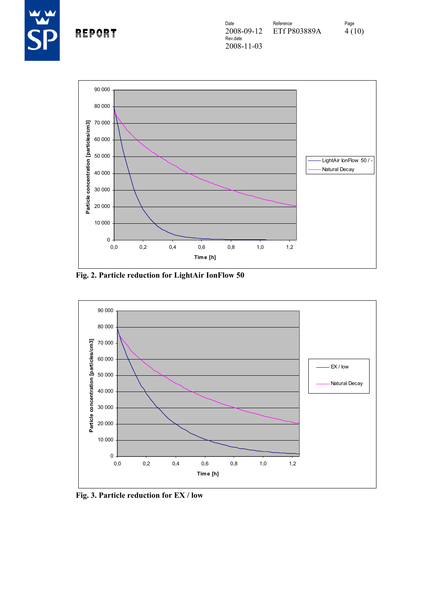



**Fig. 2. Particle reduction for LightAir IonFlow 50** 



**Fig. 3. Particle reduction for EX / low**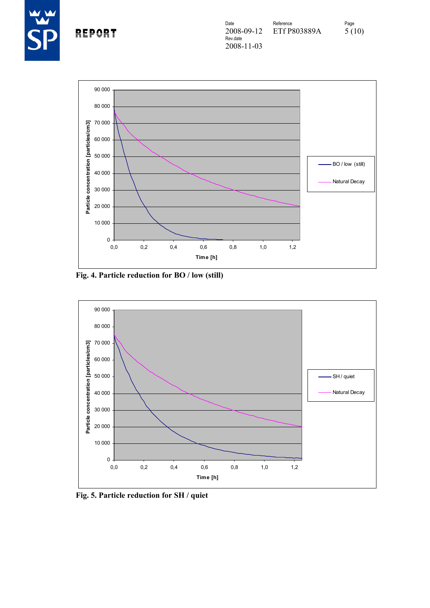



**Fig. 4. Particle reduction for BO / low (still)** 



**Fig. 5. Particle reduction for SH / quiet**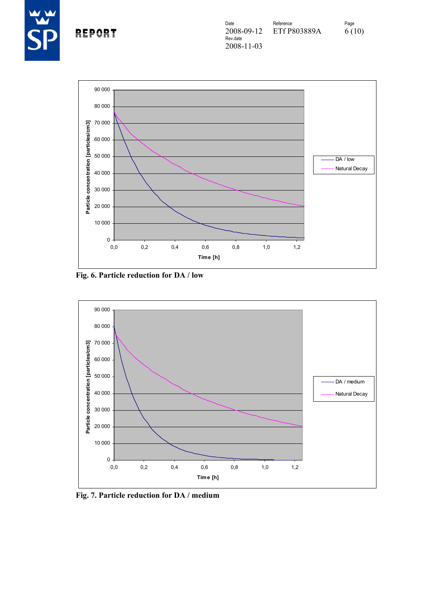



**Fig. 6. Particle reduction for DA / low** 



**Fig. 7. Particle reduction for DA / medium**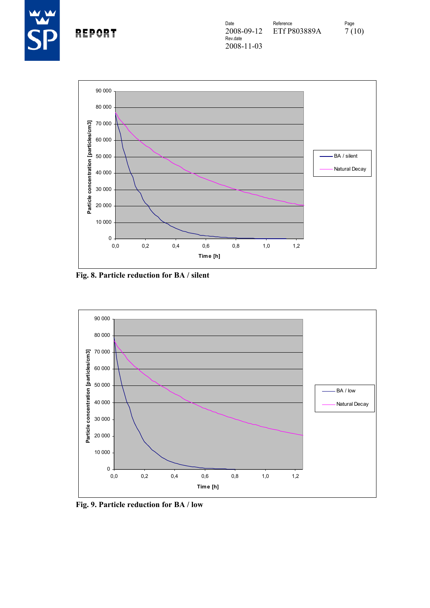



**Fig. 8. Particle reduction for BA / silent** 



**Fig. 9. Particle reduction for BA / low**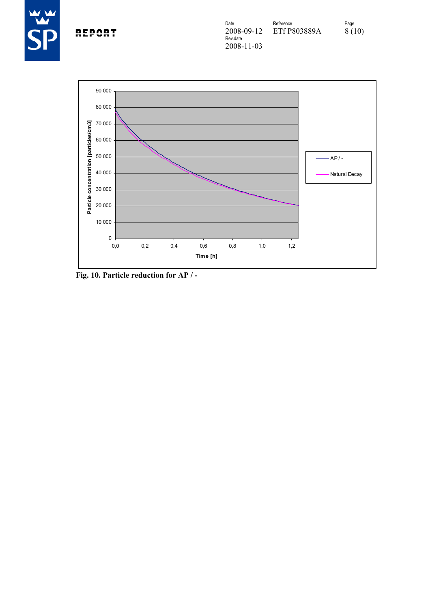



**Fig. 10. Particle reduction for AP / -**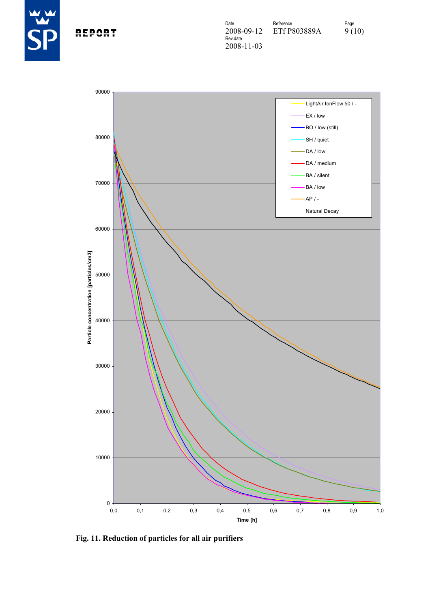

REPORT



**Fig. 11. Reduction of particles for all air purifiers**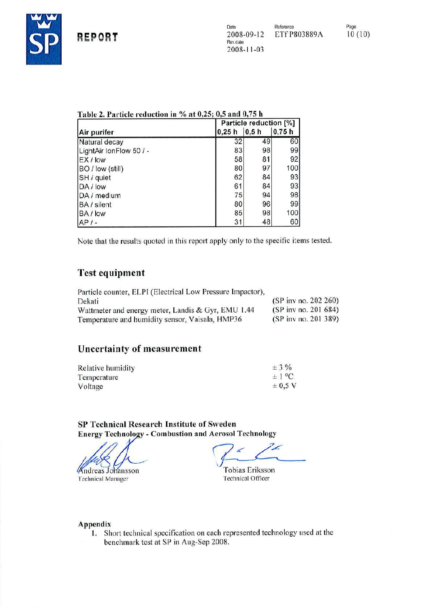

| Table 2. Particle reduction in % at 0,25; 0,5 and 0,75 h |  |  |  |
|----------------------------------------------------------|--|--|--|
|----------------------------------------------------------|--|--|--|

| Air purifer             |       | Particle reduction [%] |       |  |
|-------------------------|-------|------------------------|-------|--|
|                         | 0,25h | 0,5h                   | 0,75h |  |
| Natural decay           | 32    | 49                     | 60    |  |
| LightAir IonFlow 50 / - | 83    | 98                     | 99    |  |
| EX/low                  | 58    | 81                     | 92    |  |
| BO / low (still)        | 80    | 97                     | 100   |  |
| SH / quiet              | 62    | 84                     | 93    |  |
| DA / low                | 61    | 84                     | 93    |  |
| DA / medium             | 75    | 94                     | 98    |  |
| BA / silent             | 80    | 96                     | 99    |  |
| BA / low                | 85    | 98                     | 100   |  |
| $AP/-$                  | 31    | 48                     | 60    |  |

Note that the results quoted in this report apply only to the specific items tested.

# **Test equipment**

| Particle counter, ELPI (Electrical Low Pressure Impactor), |                        |
|------------------------------------------------------------|------------------------|
| Dekati                                                     | (SP inv no. 202 260)   |
| Wattmeter and energy meter, Landis & Gyr, EMU 1.44         | $(SP$ inv no. 201 684) |
| Temperature and humidity sensor, Vaisala, HMP36            | (SP inv no. 201 389)   |

# **Uncertainty of measurement**

| Relative humidity | $\pm$ 3 %   |
|-------------------|-------------|
| Temperature       | $\pm 1$ °C  |
| Voltage           | $\pm$ 0.5 V |

SP Technical Research Institute of Sweden **Energy Technology - Combustion and Aerosol Technology** 

**Andreas Johansson** 

**Technical Manager** 

**Tobias Eriksson Technical Officer** 

#### Appendix

1. Short technical specification on each represented technology used at the benchmark test at SP in Aug-Sep 2008.